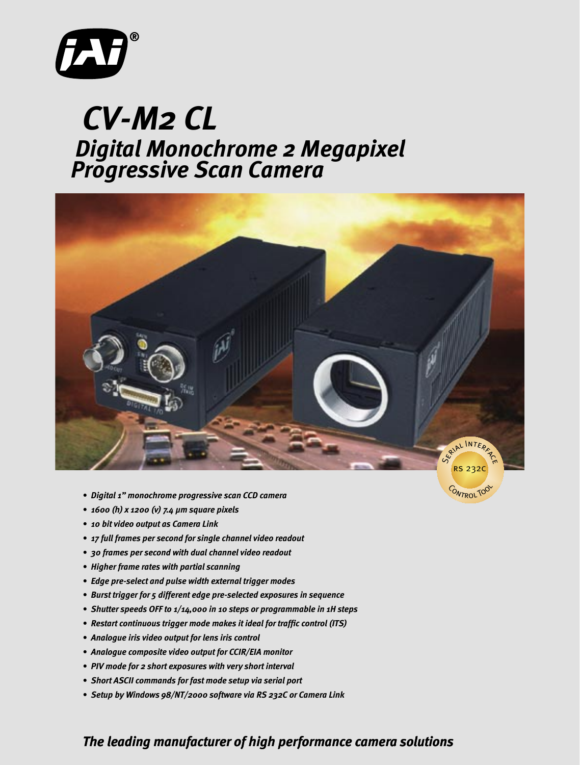

## *Digital Monochrome 2 Megapixel CV-M2 CL Progressive Scan Camera*



- *Digital 1 monochrome progressive scan CCD camera*
- *1600 (h) x 1200 (v) 7.4 µm square pixels*
- *10 bit video output as Camera Link*
- *17 full frames per second for single channel video readout*
- *30 frames per second with dual channel video readout*
- *Higher frame rates with partial scanning*
- *Edge pre-select and pulse width external trigger modes*
- *Burst trigger for 5 different edge pre-selected exposures in sequence*
- *Shutter speeds OFF to 1/14,000 in 10 steps or programmable in 1H steps*
- *Restart continuous trigger mode makes it ideal for traffic control (ITS)*
- *Analogue iris video output for lens iris control*
- *Analogue composite video output for CCIR/EIA monitor*
- *PIV mode for 2 short exposures with very short interval*
- *Short ASCII commands for fast mode setup via serial port*
- *Setup by Windows 98/NT/2000 software via RS 232C or Camera Link*

## *The leading manufacturer of high performance camera solutions*